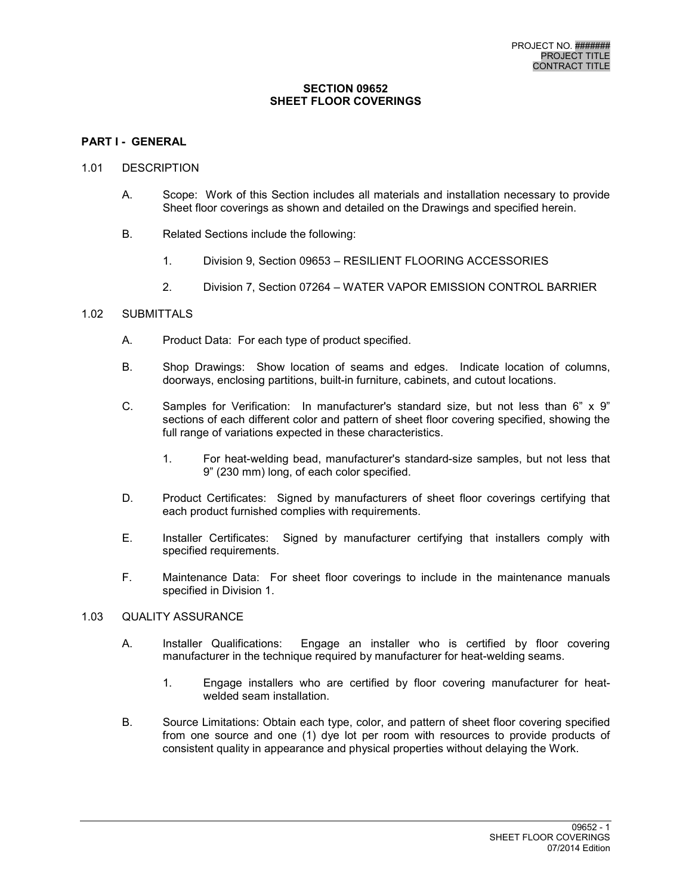#### **SECTION 09652 SHEET FLOOR COVERINGS**

## **PART I - GENERAL**

#### 1.01 DESCRIPTION

- A. Scope: Work of this Section includes all materials and installation necessary to provide Sheet floor coverings as shown and detailed on the Drawings and specified herein.
- B. Related Sections include the following:
	- 1. Division 9, Section 09653 RESILIENT FLOORING ACCESSORIES
	- 2. Division 7, Section 07264 WATER VAPOR EMISSION CONTROL BARRIER

## 1.02 SUBMITTALS

- A. Product Data: For each type of product specified.
- B. Shop Drawings: Show location of seams and edges. Indicate location of columns, doorways, enclosing partitions, built-in furniture, cabinets, and cutout locations.
- C. Samples for Verification: In manufacturer's standard size, but not less than 6" x 9" sections of each different color and pattern of sheet floor covering specified, showing the full range of variations expected in these characteristics.
	- 1. For heat-welding bead, manufacturer's standard-size samples, but not less that 9" (230 mm) long, of each color specified.
- D. Product Certificates: Signed by manufacturers of sheet floor coverings certifying that each product furnished complies with requirements.
- E. Installer Certificates: Signed by manufacturer certifying that installers comply with specified requirements.
- F. Maintenance Data: For sheet floor coverings to include in the maintenance manuals specified in Division 1.

## 1.03 QUALITY ASSURANCE

- A. Installer Qualifications: Engage an installer who is certified by floor covering manufacturer in the technique required by manufacturer for heat-welding seams.
	- 1. Engage installers who are certified by floor covering manufacturer for heatwelded seam installation.
- B. Source Limitations: Obtain each type, color, and pattern of sheet floor covering specified from one source and one (1) dye lot per room with resources to provide products of consistent quality in appearance and physical properties without delaying the Work.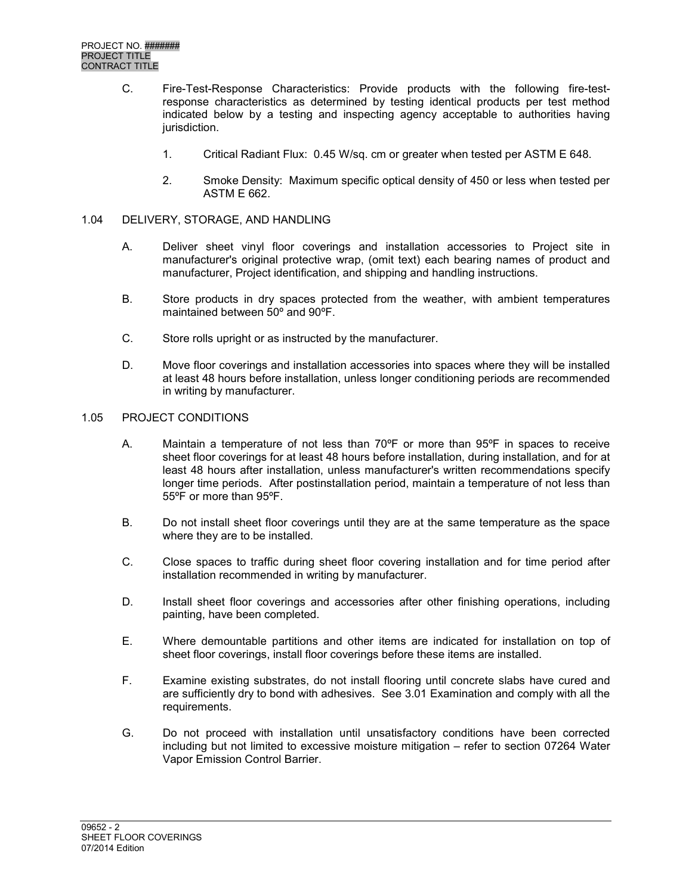- C. Fire-Test-Response Characteristics: Provide products with the following fire-testresponse characteristics as determined by testing identical products per test method indicated below by a testing and inspecting agency acceptable to authorities having jurisdiction.
	- 1. Critical Radiant Flux: 0.45 W/sq. cm or greater when tested per ASTM E 648.
	- 2. Smoke Density: Maximum specific optical density of 450 or less when tested per ASTM E 662.

## 1.04 DELIVERY, STORAGE, AND HANDLING

- A. Deliver sheet vinyl floor coverings and installation accessories to Project site in manufacturer's original protective wrap, (omit text) each bearing names of product and manufacturer, Project identification, and shipping and handling instructions.
- B. Store products in dry spaces protected from the weather, with ambient temperatures maintained between 50º and 90ºF.
- C. Store rolls upright or as instructed by the manufacturer.
- D. Move floor coverings and installation accessories into spaces where they will be installed at least 48 hours before installation, unless longer conditioning periods are recommended in writing by manufacturer.

#### 1.05 PROJECT CONDITIONS

- A. Maintain a temperature of not less than 70ºF or more than 95ºF in spaces to receive sheet floor coverings for at least 48 hours before installation, during installation, and for at least 48 hours after installation, unless manufacturer's written recommendations specify longer time periods. After postinstallation period, maintain a temperature of not less than 55ºF or more than 95ºF.
- B. Do not install sheet floor coverings until they are at the same temperature as the space where they are to be installed.
- C. Close spaces to traffic during sheet floor covering installation and for time period after installation recommended in writing by manufacturer.
- D. Install sheet floor coverings and accessories after other finishing operations, including painting, have been completed.
- E. Where demountable partitions and other items are indicated for installation on top of sheet floor coverings, install floor coverings before these items are installed.
- F. Examine existing substrates, do not install flooring until concrete slabs have cured and are sufficiently dry to bond with adhesives. See 3.01 Examination and comply with all the requirements.
- G. Do not proceed with installation until unsatisfactory conditions have been corrected including but not limited to excessive moisture mitigation – refer to section 07264 Water Vapor Emission Control Barrier.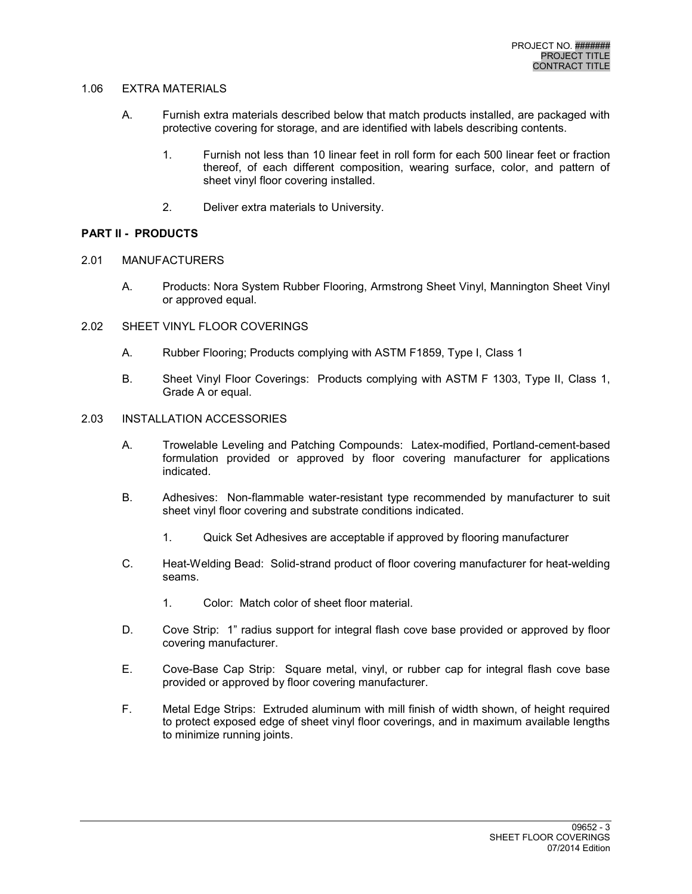## 1.06 EXTRA MATERIALS

- A. Furnish extra materials described below that match products installed, are packaged with protective covering for storage, and are identified with labels describing contents.
	- 1. Furnish not less than 10 linear feet in roll form for each 500 linear feet or fraction thereof, of each different composition, wearing surface, color, and pattern of sheet vinyl floor covering installed.
	- 2. Deliver extra materials to University.

# **PART II - PRODUCTS**

- 2.01 MANUFACTURERS
	- A. Products: Nora System Rubber Flooring, Armstrong Sheet Vinyl, Mannington Sheet Vinyl or approved equal.
- 2.02 SHEET VINYL FLOOR COVERINGS
	- A. Rubber Flooring; Products complying with ASTM F1859, Type I, Class 1
	- B. Sheet Vinyl Floor Coverings: Products complying with ASTM F 1303, Type II, Class 1, Grade A or equal.

# 2.03 INSTALLATION ACCESSORIES

- A. Trowelable Leveling and Patching Compounds: Latex-modified, Portland-cement-based formulation provided or approved by floor covering manufacturer for applications indicated.
- B. Adhesives: Non-flammable water-resistant type recommended by manufacturer to suit sheet vinyl floor covering and substrate conditions indicated.
	- 1. Quick Set Adhesives are acceptable if approved by flooring manufacturer
- C. Heat-Welding Bead: Solid-strand product of floor covering manufacturer for heat-welding seams.
	- 1. Color: Match color of sheet floor material.
- D. Cove Strip: 1" radius support for integral flash cove base provided or approved by floor covering manufacturer.
- E. Cove-Base Cap Strip: Square metal, vinyl, or rubber cap for integral flash cove base provided or approved by floor covering manufacturer.
- F. Metal Edge Strips: Extruded aluminum with mill finish of width shown, of height required to protect exposed edge of sheet vinyl floor coverings, and in maximum available lengths to minimize running joints.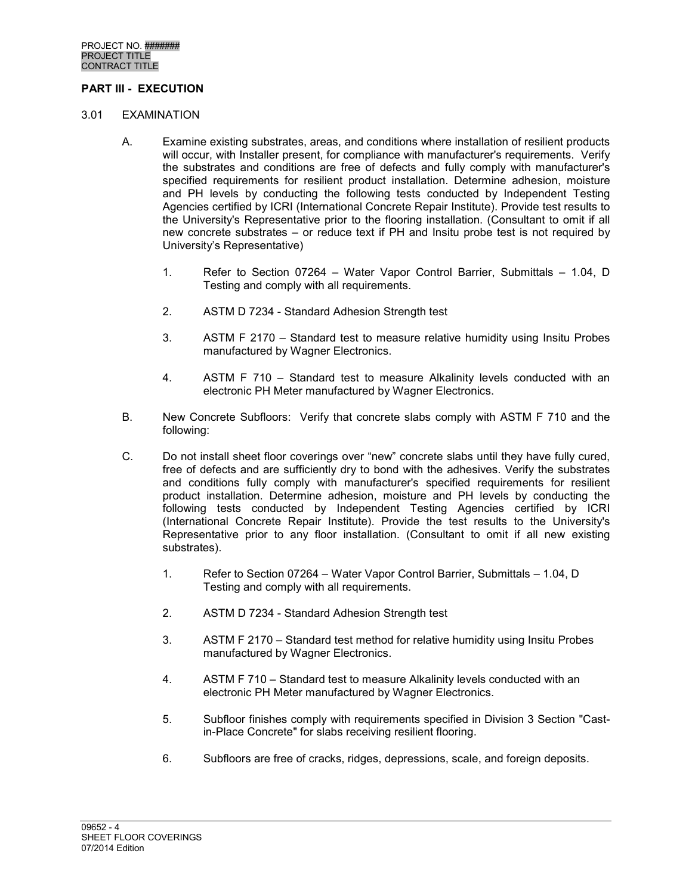# **PART III - EXECUTION**

#### 3.01 EXAMINATION

- A. Examine existing substrates, areas, and conditions where installation of resilient products will occur, with Installer present, for compliance with manufacturer's requirements. Verify the substrates and conditions are free of defects and fully comply with manufacturer's specified requirements for resilient product installation. Determine adhesion, moisture and PH levels by conducting the following tests conducted by Independent Testing Agencies certified by ICRI (International Concrete Repair Institute). Provide test results to the University's Representative prior to the flooring installation. (Consultant to omit if all new concrete substrates – or reduce text if PH and Insitu probe test is not required by University's Representative)
	- 1. Refer to Section 07264 Water Vapor Control Barrier, Submittals 1.04, D Testing and comply with all requirements.
	- 2. ASTM D 7234 Standard Adhesion Strength test
	- 3. ASTM F 2170 Standard test to measure relative humidity using Insitu Probes manufactured by Wagner Electronics.
	- 4. ASTM F 710 Standard test to measure Alkalinity levels conducted with an electronic PH Meter manufactured by Wagner Electronics.
- B. New Concrete Subfloors: Verify that concrete slabs comply with ASTM F 710 and the following:
- C. Do not install sheet floor coverings over "new" concrete slabs until they have fully cured, free of defects and are sufficiently dry to bond with the adhesives. Verify the substrates and conditions fully comply with manufacturer's specified requirements for resilient product installation. Determine adhesion, moisture and PH levels by conducting the following tests conducted by Independent Testing Agencies certified by ICRI (International Concrete Repair Institute). Provide the test results to the University's Representative prior to any floor installation. (Consultant to omit if all new existing substrates).
	- 1. Refer to Section 07264 Water Vapor Control Barrier, Submittals 1.04, D Testing and comply with all requirements.
	- 2. ASTM D 7234 Standard Adhesion Strength test
	- 3. ASTM F 2170 Standard test method for relative humidity using Insitu Probes manufactured by Wagner Electronics.
	- 4. ASTM F 710 Standard test to measure Alkalinity levels conducted with an electronic PH Meter manufactured by Wagner Electronics.
	- 5. Subfloor finishes comply with requirements specified in Division 3 Section "Castin-Place Concrete" for slabs receiving resilient flooring.
	- 6. Subfloors are free of cracks, ridges, depressions, scale, and foreign deposits.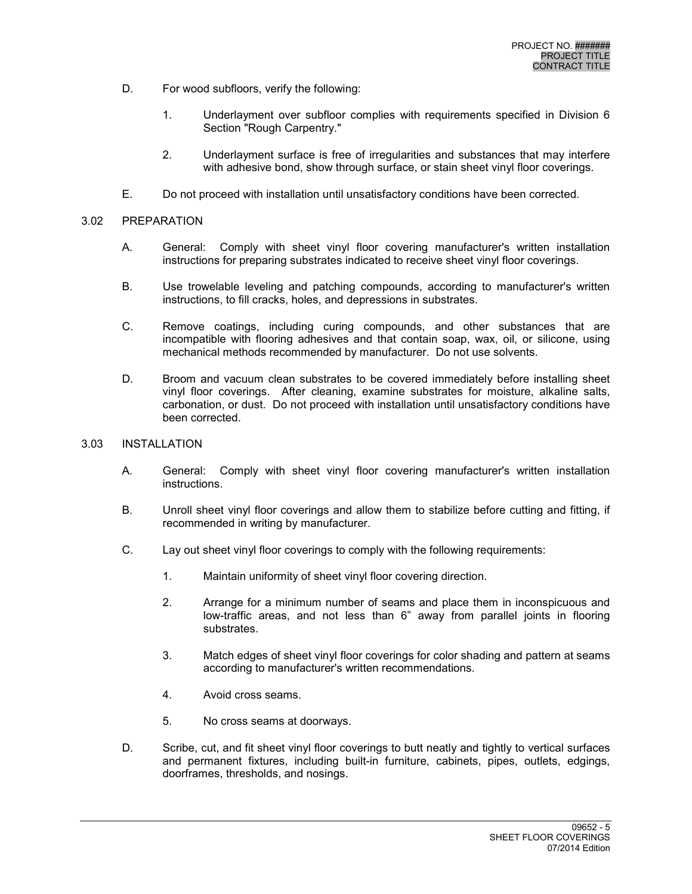- D. For wood subfloors, verify the following:
	- 1. Underlayment over subfloor complies with requirements specified in Division 6 Section "Rough Carpentry."
	- 2. Underlayment surface is free of irregularities and substances that may interfere with adhesive bond, show through surface, or stain sheet vinyl floor coverings.
- E. Do not proceed with installation until unsatisfactory conditions have been corrected.

## 3.02 PREPARATION

- A. General: Comply with sheet vinyl floor covering manufacturer's written installation instructions for preparing substrates indicated to receive sheet vinyl floor coverings.
- B. Use trowelable leveling and patching compounds, according to manufacturer's written instructions, to fill cracks, holes, and depressions in substrates.
- C. Remove coatings, including curing compounds, and other substances that are incompatible with flooring adhesives and that contain soap, wax, oil, or silicone, using mechanical methods recommended by manufacturer. Do not use solvents.
- D. Broom and vacuum clean substrates to be covered immediately before installing sheet vinyl floor coverings. After cleaning, examine substrates for moisture, alkaline salts, carbonation, or dust. Do not proceed with installation until unsatisfactory conditions have been corrected.
- 3.03 INSTALLATION
	- A. General: Comply with sheet vinyl floor covering manufacturer's written installation instructions.
	- B. Unroll sheet vinyl floor coverings and allow them to stabilize before cutting and fitting, if recommended in writing by manufacturer.
	- C. Lay out sheet vinyl floor coverings to comply with the following requirements:
		- 1. Maintain uniformity of sheet vinyl floor covering direction.
		- 2. Arrange for a minimum number of seams and place them in inconspicuous and low-traffic areas, and not less than 6" away from parallel joints in flooring substrates.
		- 3. Match edges of sheet vinyl floor coverings for color shading and pattern at seams according to manufacturer's written recommendations.
		- 4. Avoid cross seams.
		- 5. No cross seams at doorways.
	- D. Scribe, cut, and fit sheet vinyl floor coverings to butt neatly and tightly to vertical surfaces and permanent fixtures, including built-in furniture, cabinets, pipes, outlets, edgings, doorframes, thresholds, and nosings.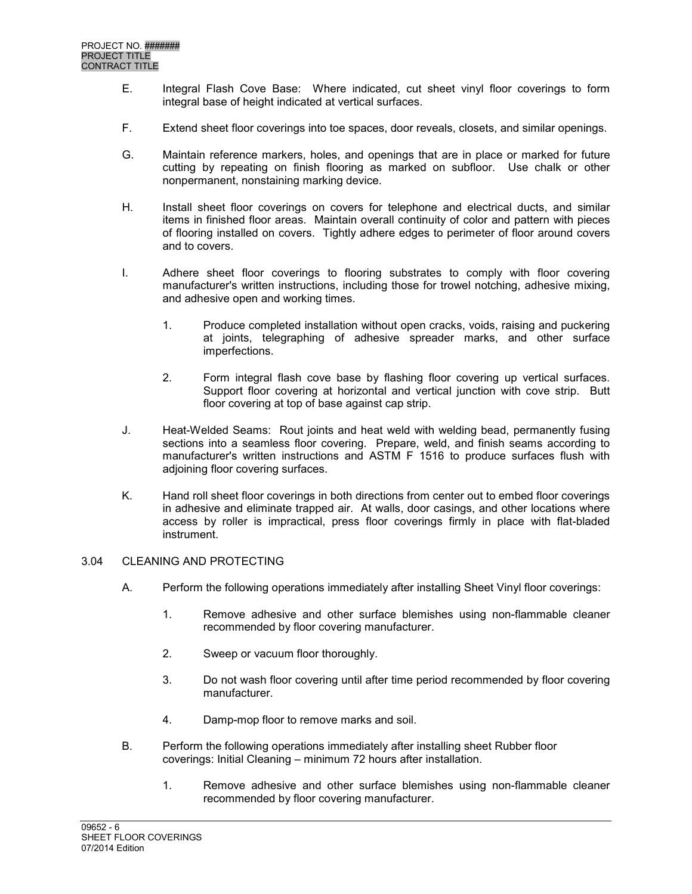- E. Integral Flash Cove Base: Where indicated, cut sheet vinyl floor coverings to form integral base of height indicated at vertical surfaces.
- F. Extend sheet floor coverings into toe spaces, door reveals, closets, and similar openings.
- G. Maintain reference markers, holes, and openings that are in place or marked for future cutting by repeating on finish flooring as marked on subfloor. Use chalk or other nonpermanent, nonstaining marking device.
- H. Install sheet floor coverings on covers for telephone and electrical ducts, and similar items in finished floor areas. Maintain overall continuity of color and pattern with pieces of flooring installed on covers. Tightly adhere edges to perimeter of floor around covers and to covers.
- I. Adhere sheet floor coverings to flooring substrates to comply with floor covering manufacturer's written instructions, including those for trowel notching, adhesive mixing, and adhesive open and working times.
	- 1. Produce completed installation without open cracks, voids, raising and puckering at joints, telegraphing of adhesive spreader marks, and other surface imperfections.
	- 2. Form integral flash cove base by flashing floor covering up vertical surfaces. Support floor covering at horizontal and vertical junction with cove strip. Butt floor covering at top of base against cap strip.
- J. Heat-Welded Seams: Rout joints and heat weld with welding bead, permanently fusing sections into a seamless floor covering. Prepare, weld, and finish seams according to manufacturer's written instructions and ASTM F 1516 to produce surfaces flush with adjoining floor covering surfaces.
- K. Hand roll sheet floor coverings in both directions from center out to embed floor coverings in adhesive and eliminate trapped air. At walls, door casings, and other locations where access by roller is impractical, press floor coverings firmly in place with flat-bladed instrument.

## 3.04 CLEANING AND PROTECTING

- A. Perform the following operations immediately after installing Sheet Vinyl floor coverings:
	- 1. Remove adhesive and other surface blemishes using non-flammable cleaner recommended by floor covering manufacturer.
	- 2. Sweep or vacuum floor thoroughly.
	- 3. Do not wash floor covering until after time period recommended by floor covering manufacturer.
	- 4. Damp-mop floor to remove marks and soil.
- B. Perform the following operations immediately after installing sheet Rubber floor coverings: Initial Cleaning – minimum 72 hours after installation.
	- 1. Remove adhesive and other surface blemishes using non-flammable cleaner recommended by floor covering manufacturer.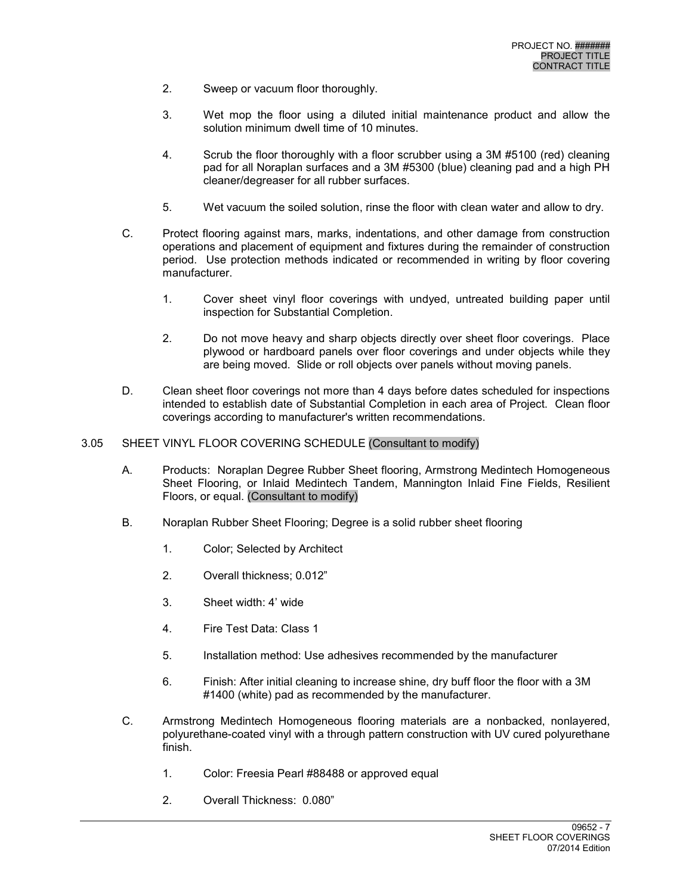- 2. Sweep or vacuum floor thoroughly.
- 3. Wet mop the floor using a diluted initial maintenance product and allow the solution minimum dwell time of 10 minutes.
- 4. Scrub the floor thoroughly with a floor scrubber using a 3M #5100 (red) cleaning pad for all Noraplan surfaces and a 3M #5300 (blue) cleaning pad and a high PH cleaner/degreaser for all rubber surfaces.
- 5. Wet vacuum the soiled solution, rinse the floor with clean water and allow to dry.
- C. Protect flooring against mars, marks, indentations, and other damage from construction operations and placement of equipment and fixtures during the remainder of construction period. Use protection methods indicated or recommended in writing by floor covering manufacturer.
	- 1. Cover sheet vinyl floor coverings with undyed, untreated building paper until inspection for Substantial Completion.
	- 2. Do not move heavy and sharp objects directly over sheet floor coverings. Place plywood or hardboard panels over floor coverings and under objects while they are being moved. Slide or roll objects over panels without moving panels.
- D. Clean sheet floor coverings not more than 4 days before dates scheduled for inspections intended to establish date of Substantial Completion in each area of Project. Clean floor coverings according to manufacturer's written recommendations.
- 3.05 SHEET VINYL FLOOR COVERING SCHEDULE (Consultant to modify)
	- A. Products: Noraplan Degree Rubber Sheet flooring, Armstrong Medintech Homogeneous Sheet Flooring, or Inlaid Medintech Tandem, Mannington Inlaid Fine Fields, Resilient Floors, or equal. (Consultant to modify)
	- B. Noraplan Rubber Sheet Flooring; Degree is a solid rubber sheet flooring
		- 1. Color; Selected by Architect
		- 2. Overall thickness; 0.012"
		- 3. Sheet width: 4' wide
		- 4. Fire Test Data: Class 1
		- 5. Installation method: Use adhesives recommended by the manufacturer
		- 6. Finish: After initial cleaning to increase shine, dry buff floor the floor with a 3M #1400 (white) pad as recommended by the manufacturer.
	- C. Armstrong Medintech Homogeneous flooring materials are a nonbacked, nonlayered, polyurethane-coated vinyl with a through pattern construction with UV cured polyurethane finish.
		- 1. Color: Freesia Pearl #88488 or approved equal
		- 2. Overall Thickness: 0.080"